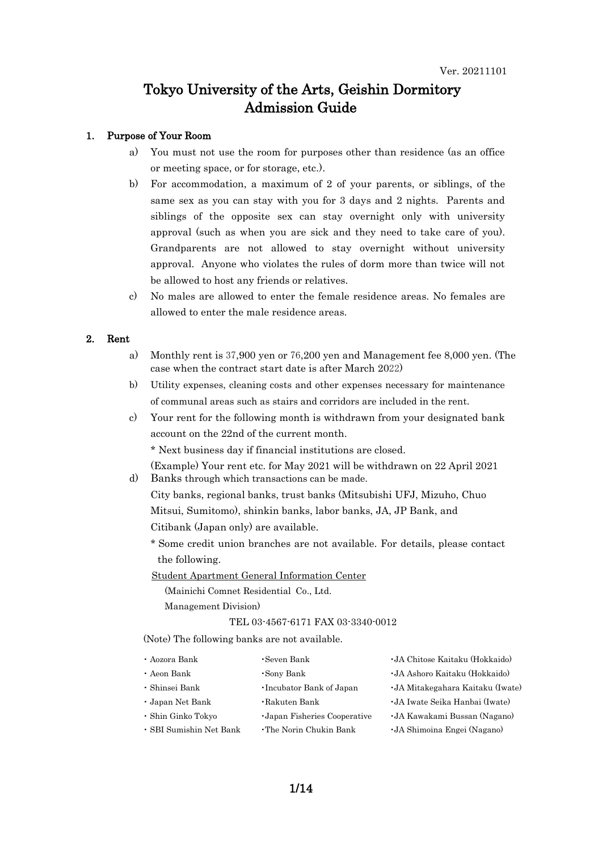### Tokyo University of the Arts, Geishin Dormitory Admission Guide

### 1. Purpose of Your Room

- a) You must not use the room for purposes other than residence (as an office or meeting space, or for storage, etc.).
- b) For accommodation, a maximum of 2 of your parents, or siblings, of the same sex as you can stay with you for 3 days and 2 nights. Parents and siblings of the opposite sex can stay overnight only with university approval (such as when you are sick and they need to take care of you). Grandparents are not allowed to stay overnight without university approval. Anyone who violates the rules of dorm more than twice will not be allowed to host any friends or relatives.
- c) No males are allowed to enter the female residence areas. No females are allowed to enter the male residence areas.

#### 2. Rent

- a) Monthly rent is 37,900 yen or 76,200 yen and Management fee 8,000 yen. (The case when the contract start date is after March 2022)
- b) Utility expenses, cleaning costs and other expenses necessary for maintenance of communal areas such as stairs and corridors are included in the rent.
- c) Your rent for the following month is withdrawn from your designated bank account on the 22nd of the current month.

\* Next business day if financial institutions are closed.

(Example) Your rent etc. for May 2021 will be withdrawn on 22 April 2021 d) Banks through which transactions can be made.

City banks, regional banks, trust banks (Mitsubishi UFJ, Mizuho, Chuo Mitsui, Sumitomo), shinkin banks, labor banks, JA, JP Bank, and Citibank (Japan only) are available.

\* Some credit union branches are not available. For details, please contact the following.

Student Apartment General Information Center

(Mainichi Comnet Residential Co., Ltd. Management Division)

#### TEL 03-4567-6171 FAX 03-3340-0012

(Note) The following banks are not available.

| • Aozora Bank           | •Seven Bank                        | • JA Chitose Kaitaku (Hokkaido)   |
|-------------------------|------------------------------------|-----------------------------------|
| • Aeon Bank             | •Sony Bank                         | • JA Ashoro Kaitaku (Hokkaido)    |
| • Shinsei Bank          | •Incubator Bank of Japan           | • JA Mitakegahara Kaitaku (Iwate) |
| • Japan Net Bank        | $\cdot$ Rakuten Bank               | • JA Iwate Seika Hanbai (Iwate)   |
| • Shin Ginko Tokyo      | <b>Japan Fisheries Cooperative</b> | • JA Kawakami Bussan (Nagano)     |
| • SBI Sumishin Net Bank | • The Norin Chukin Bank            | • JA Shimoina Engei (Nagano)      |
|                         |                                    |                                   |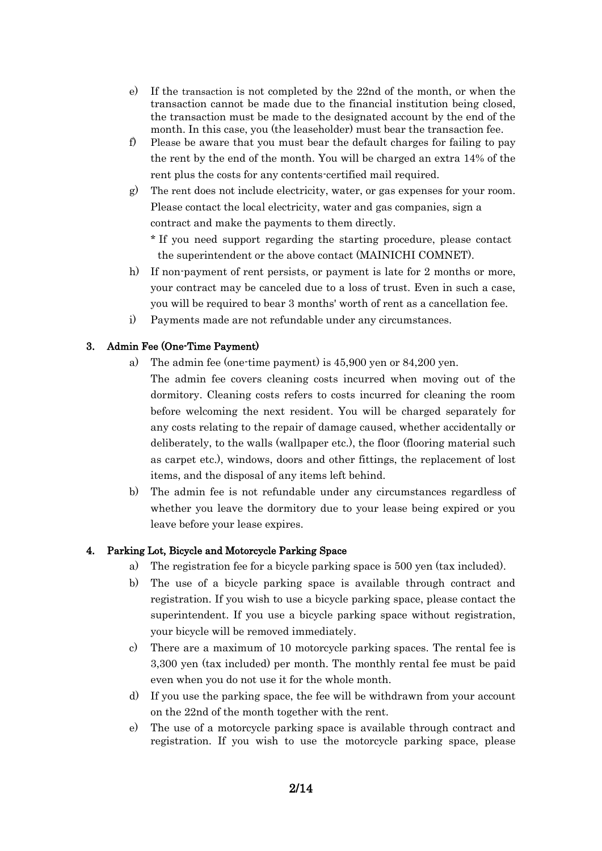- e) If the transaction is not completed by the 22nd of the month, or when the transaction cannot be made due to the financial institution being closed, the transaction must be made to the designated account by the end of the month. In this case, you (the leaseholder) must bear the transaction fee.
- f) Please be aware that you must bear the default charges for failing to pay the rent by the end of the month. You will be charged an extra 14% of the rent plus the costs for any contents-certified mail required.
- g) The rent does not include electricity, water, or gas expenses for your room. Please contact the local electricity, water and gas companies, sign a contract and make the payments to them directly.

\* If you need support regarding the starting procedure, please contact the superintendent or the above contact (MAINICHI COMNET).

- h) If non-payment of rent persists, or payment is late for 2 months or more, your contract may be canceled due to a loss of trust. Even in such a case, you will be required to bear 3 months' worth of rent as a cancellation fee.
- i) Payments made are not refundable under any circumstances.

# 3. Admin Fee (One-Time Payment)

- a) The admin fee (one-time payment) is 45,900 yen or 84,200 yen.
	- The admin fee covers cleaning costs incurred when moving out of the dormitory. Cleaning costs refers to costs incurred for cleaning the room before welcoming the next resident. You will be charged separately for any costs relating to the repair of damage caused, whether accidentally or deliberately, to the walls (wallpaper etc.), the floor (flooring material such as carpet etc.), windows, doors and other fittings, the replacement of lost items, and the disposal of any items left behind.
- b) The admin fee is not refundable under any circumstances regardless of whether you leave the dormitory due to your lease being expired or you leave before your lease expires.

### 4. Parking Lot, Bicycle and Motorcycle Parking Space

- a) The registration fee for a bicycle parking space is 500 yen (tax included).
- b) The use of a bicycle parking space is available through contract and registration. If you wish to use a bicycle parking space, please contact the superintendent. If you use a bicycle parking space without registration, your bicycle will be removed immediately.
- c) There are a maximum of 10 motorcycle parking spaces. The rental fee is 3,300 yen (tax included) per month. The monthly rental fee must be paid even when you do not use it for the whole month.
- d) If you use the parking space, the fee will be withdrawn from your account on the 22nd of the month together with the rent.
- e) The use of a motorcycle parking space is available through contract and registration. If you wish to use the motorcycle parking space, please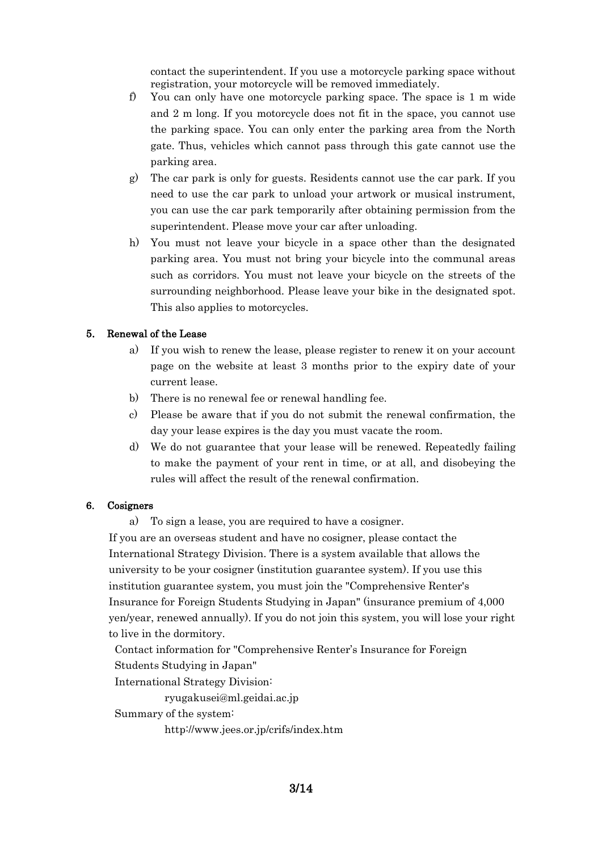contact the superintendent. If you use a motorcycle parking space without registration, your motorcycle will be removed immediately.

- f) You can only have one motorcycle parking space. The space is  $1 \text{ m}$  wide and 2 m long. If you motorcycle does not fit in the space, you cannot use the parking space. You can only enter the parking area from the North gate. Thus, vehicles which cannot pass through this gate cannot use the parking area.
- g) The car park is only for guests. Residents cannot use the car park. If you need to use the car park to unload your artwork or musical instrument, you can use the car park temporarily after obtaining permission from the superintendent. Please move your car after unloading.
- h) You must not leave your bicycle in a space other than the designated parking area. You must not bring your bicycle into the communal areas such as corridors. You must not leave your bicycle on the streets of the surrounding neighborhood. Please leave your bike in the designated spot. This also applies to motorcycles.

### 5. Renewal of the Lease

- a) If you wish to renew the lease, please register to renew it on your account page on the website at least 3 months prior to the expiry date of your current lease.
- b) There is no renewal fee or renewal handling fee.
- c) Please be aware that if you do not submit the renewal confirmation, the day your lease expires is the day you must vacate the room.
- d) We do not guarantee that your lease will be renewed. Repeatedly failing to make the payment of your rent in time, or at all, and disobeying the rules will affect the result of the renewal confirmation.

#### 6. Cosigners

a) To sign a lease, you are required to have a cosigner.

If you are an overseas student and have no cosigner, please contact the International Strategy Division. There is a system available that allows the university to be your cosigner (institution guarantee system). If you use this institution guarantee system, you must join the "Comprehensive Renter's Insurance for Foreign Students Studying in Japan" (insurance premium of 4,000 yen/year, renewed annually). If you do not join this system, you will lose your right to live in the dormitory.

Contact information for "Comprehensive Renter's Insurance for Foreign Students Studying in Japan"

International Strategy Division:

ryugakusei@ml.geidai.ac.jp

Summary of the system:

http://www.jees.or.jp/crifs/index.htm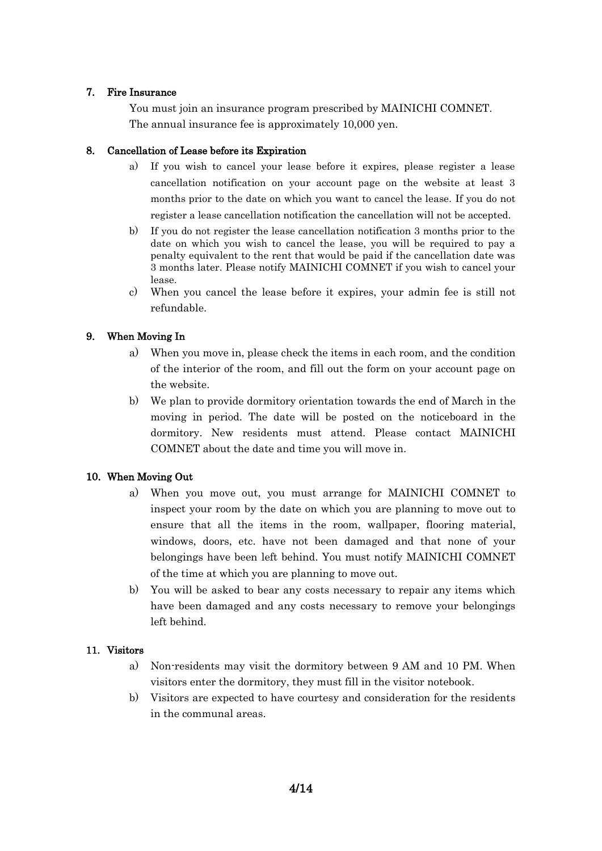#### 7. Fire Insurance

You must join an insurance program prescribed by MAINICHI COMNET. The annual insurance fee is approximately 10,000 yen.

# 8. Cancellation of Lease before its Expiration

- a) If you wish to cancel your lease before it expires, please register a lease cancellation notification on your account page on the website at least 3 months prior to the date on which you want to cancel the lease. If you do not register a lease cancellation notification the cancellation will not be accepted.
- b) If you do not register the lease cancellation notification 3 months prior to the date on which you wish to cancel the lease, you will be required to pay a penalty equivalent to the rent that would be paid if the cancellation date was 3 months later. Please notify MAINICHI COMNET if you wish to cancel your lease.
- c) When you cancel the lease before it expires, your admin fee is still not refundable.

# 9. When Moving In

- a) When you move in, please check the items in each room, and the condition of the interior of the room, and fill out the form on your account page on the website.
- b) We plan to provide dormitory orientation towards the end of March in the moving in period. The date will be posted on the noticeboard in the dormitory. New residents must attend. Please contact MAINICHI COMNET about the date and time you will move in.

# 10. When Moving Out

- a) When you move out, you must arrange for MAINICHI COMNET to inspect your room by the date on which you are planning to move out to ensure that all the items in the room, wallpaper, flooring material, windows, doors, etc. have not been damaged and that none of your belongings have been left behind. You must notify MAINICHI COMNET of the time at which you are planning to move out.
- b) You will be asked to bear any costs necessary to repair any items which have been damaged and any costs necessary to remove your belongings left behind.

# 11. Visitors

- a) Non-residents may visit the dormitory between 9 AM and 10 PM. When visitors enter the dormitory, they must fill in the visitor notebook.
- b) Visitors are expected to have courtesy and consideration for the residents in the communal areas.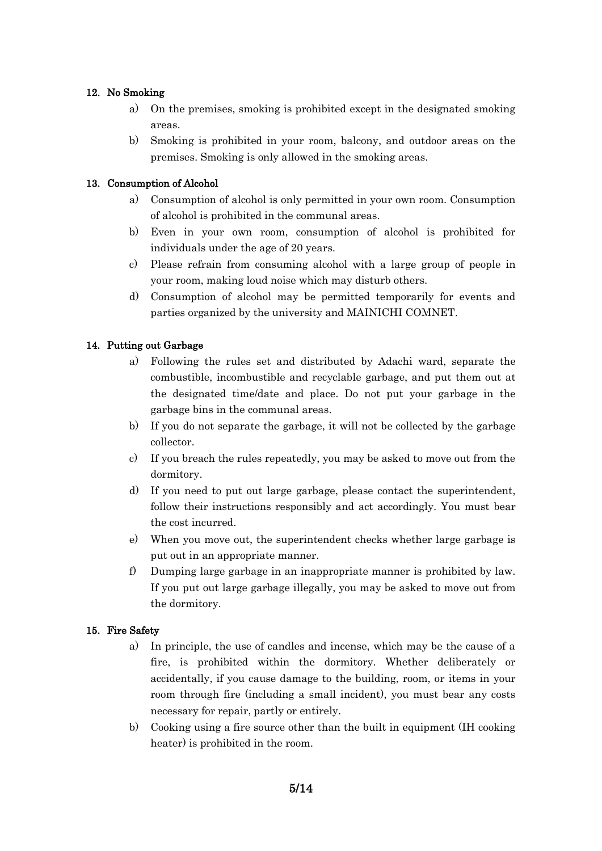# 12. No Smoking

- a) On the premises, smoking is prohibited except in the designated smoking areas.
- b) Smoking is prohibited in your room, balcony, and outdoor areas on the premises. Smoking is only allowed in the smoking areas.

# 13. Consumption of Alcohol

- a) Consumption of alcohol is only permitted in your own room. Consumption of alcohol is prohibited in the communal areas.
- b) Even in your own room, consumption of alcohol is prohibited for individuals under the age of 20 years.
- c) Please refrain from consuming alcohol with a large group of people in your room, making loud noise which may disturb others.
- d) Consumption of alcohol may be permitted temporarily for events and parties organized by the university and MAINICHI COMNET.

## 14. Putting out Garbage

- a) Following the rules set and distributed by Adachi ward, separate the combustible, incombustible and recyclable garbage, and put them out at the designated time/date and place. Do not put your garbage in the garbage bins in the communal areas.
- b) If you do not separate the garbage, it will not be collected by the garbage collector.
- c) If you breach the rules repeatedly, you may be asked to move out from the dormitory.
- d) If you need to put out large garbage, please contact the superintendent, follow their instructions responsibly and act accordingly. You must bear the cost incurred.
- e) When you move out, the superintendent checks whether large garbage is put out in an appropriate manner.
- f) Dumping large garbage in an inappropriate manner is prohibited by law. If you put out large garbage illegally, you may be asked to move out from the dormitory.

### 15. Fire Safety

- a) In principle, the use of candles and incense, which may be the cause of a fire, is prohibited within the dormitory. Whether deliberately or accidentally, if you cause damage to the building, room, or items in your room through fire (including a small incident), you must bear any costs necessary for repair, partly or entirely.
- b) Cooking using a fire source other than the built in equipment (IH cooking heater) is prohibited in the room.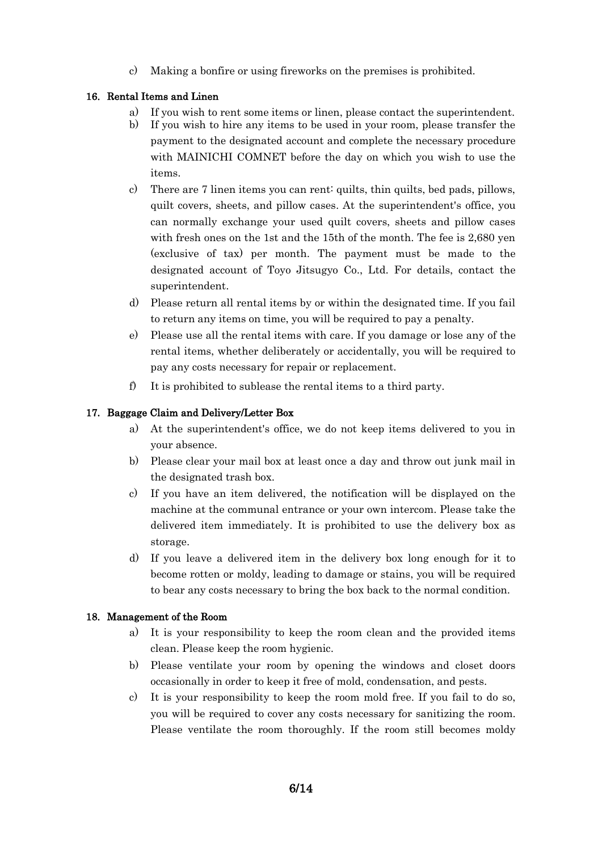c) Making a bonfire or using fireworks on the premises is prohibited.

## 16. Rental Items and Linen

- a) If you wish to rent some items or linen, please contact the superintendent.
- b) If you wish to hire any items to be used in your room, please transfer the payment to the designated account and complete the necessary procedure with MAINICHI COMNET before the day on which you wish to use the items.
- c) There are 7 linen items you can rent: quilts, thin quilts, bed pads, pillows, quilt covers, sheets, and pillow cases. At the superintendent's office, you can normally exchange your used quilt covers, sheets and pillow cases with fresh ones on the 1st and the 15th of the month. The fee is 2,680 yen (exclusive of tax) per month. The payment must be made to the designated account of Toyo Jitsugyo Co., Ltd. For details, contact the superintendent.
- d) Please return all rental items by or within the designated time. If you fail to return any items on time, you will be required to pay a penalty.
- e) Please use all the rental items with care. If you damage or lose any of the rental items, whether deliberately or accidentally, you will be required to pay any costs necessary for repair or replacement.
- f) It is prohibited to sublease the rental items to a third party.

# 17. Baggage Claim and Delivery/Letter Box

- a) At the superintendent's office, we do not keep items delivered to you in your absence.
- b) Please clear your mail box at least once a day and throw out junk mail in the designated trash box.
- c) If you have an item delivered, the notification will be displayed on the machine at the communal entrance or your own intercom. Please take the delivered item immediately. It is prohibited to use the delivery box as storage.
- d) If you leave a delivered item in the delivery box long enough for it to become rotten or moldy, leading to damage or stains, you will be required to bear any costs necessary to bring the box back to the normal condition.

# 18. Management of the Room

- a) It is your responsibility to keep the room clean and the provided items clean. Please keep the room hygienic.
- b) Please ventilate your room by opening the windows and closet doors occasionally in order to keep it free of mold, condensation, and pests.
- c) It is your responsibility to keep the room mold free. If you fail to do so, you will be required to cover any costs necessary for sanitizing the room. Please ventilate the room thoroughly. If the room still becomes moldy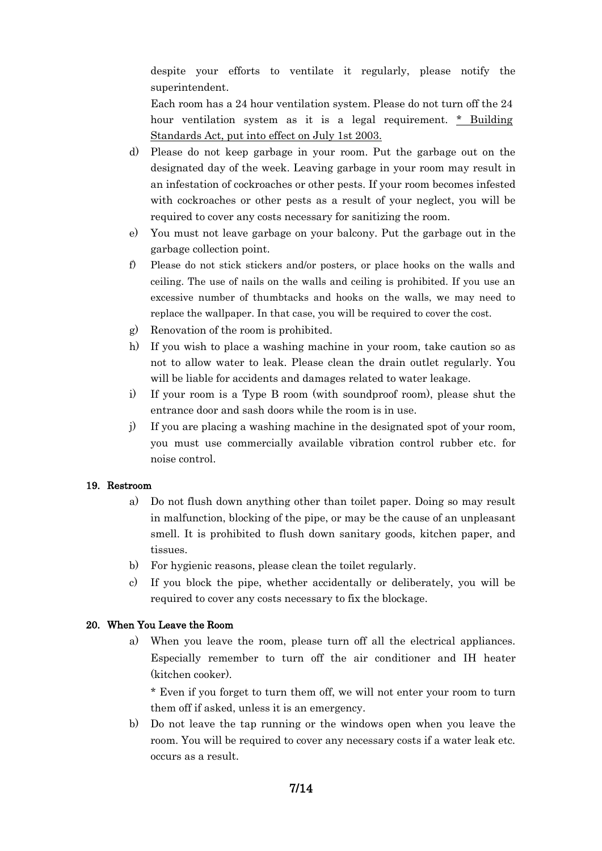despite your efforts to ventilate it regularly, please notify the superintendent.

Each room has a 24 hour ventilation system. Please do not turn off the 24 hour ventilation system as it is a legal requirement. \* Building Standards Act, put into effect on July 1st 2003.

- d) Please do not keep garbage in your room. Put the garbage out on the designated day of the week. Leaving garbage in your room may result in an infestation of cockroaches or other pests. If your room becomes infested with cockroaches or other pests as a result of your neglect, you will be required to cover any costs necessary for sanitizing the room.
- e) You must not leave garbage on your balcony. Put the garbage out in the garbage collection point.
- f) Please do not stick stickers and/or posters, or place hooks on the walls and ceiling. The use of nails on the walls and ceiling is prohibited. If you use an excessive number of thumbtacks and hooks on the walls, we may need to replace the wallpaper. In that case, you will be required to cover the cost.
- g) Renovation of the room is prohibited.
- h) If you wish to place a washing machine in your room, take caution so as not to allow water to leak. Please clean the drain outlet regularly. You will be liable for accidents and damages related to water leakage.
- i) If your room is a Type B room (with soundproof room), please shut the entrance door and sash doors while the room is in use.
- j) If you are placing a washing machine in the designated spot of your room, you must use commercially available vibration control rubber etc. for noise control.

### 19. Restroom

- a) Do not flush down anything other than toilet paper. Doing so may result in malfunction, blocking of the pipe, or may be the cause of an unpleasant smell. It is prohibited to flush down sanitary goods, kitchen paper, and tissues.
- b) For hygienic reasons, please clean the toilet regularly.
- c) If you block the pipe, whether accidentally or deliberately, you will be required to cover any costs necessary to fix the blockage.

#### 20. When You Leave the Room

a) When you leave the room, please turn off all the electrical appliances. Especially remember to turn off the air conditioner and IH heater (kitchen cooker).

\* Even if you forget to turn them off, we will not enter your room to turn them off if asked, unless it is an emergency.

b) Do not leave the tap running or the windows open when you leave the room. You will be required to cover any necessary costs if a water leak etc. occurs as a result.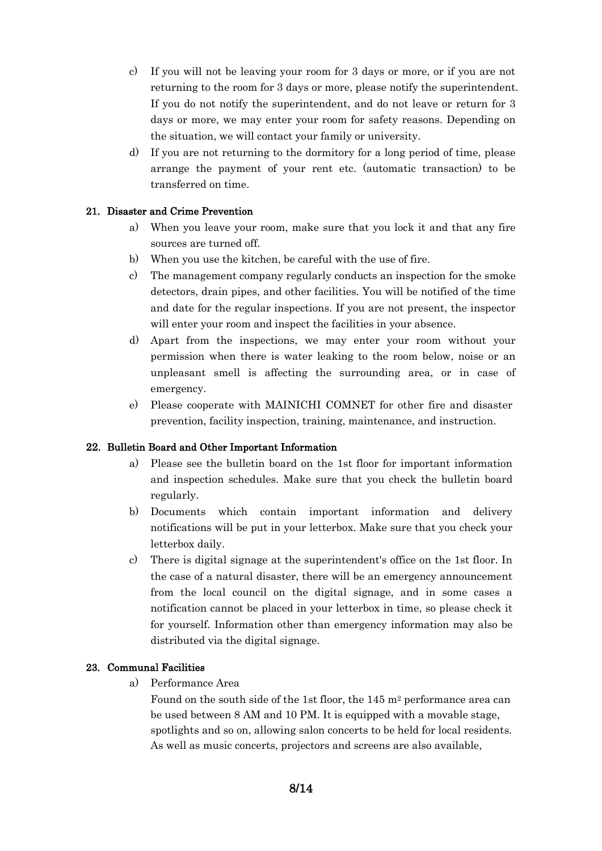- c) If you will not be leaving your room for 3 days or more, or if you are not returning to the room for 3 days or more, please notify the superintendent. If you do not notify the superintendent, and do not leave or return for 3 days or more, we may enter your room for safety reasons. Depending on the situation, we will contact your family or university.
- d) If you are not returning to the dormitory for a long period of time, please arrange the payment of your rent etc. (automatic transaction) to be transferred on time.

# 21. Disaster and Crime Prevention

- a) When you leave your room, make sure that you lock it and that any fire sources are turned off.
- b) When you use the kitchen, be careful with the use of fire.
- c) The management company regularly conducts an inspection for the smoke detectors, drain pipes, and other facilities. You will be notified of the time and date for the regular inspections. If you are not present, the inspector will enter your room and inspect the facilities in your absence.
- d) Apart from the inspections, we may enter your room without your permission when there is water leaking to the room below, noise or an unpleasant smell is affecting the surrounding area, or in case of emergency.
- e) Please cooperate with MAINICHI COMNET for other fire and disaster prevention, facility inspection, training, maintenance, and instruction.

### 22. Bulletin Board and Other Important Information

- a) Please see the bulletin board on the 1st floor for important information and inspection schedules. Make sure that you check the bulletin board regularly.
- b) Documents which contain important information and delivery notifications will be put in your letterbox. Make sure that you check your letterbox daily.
- c) There is digital signage at the superintendent's office on the 1st floor. In the case of a natural disaster, there will be an emergency announcement from the local council on the digital signage, and in some cases a notification cannot be placed in your letterbox in time, so please check it for yourself. Information other than emergency information may also be distributed via the digital signage.

### 23. Communal Facilities

a) Performance Area

Found on the south side of the 1st floor, the 145 m<sup>2</sup> performance area can be used between 8 AM and 10 PM. It is equipped with a movable stage, spotlights and so on, allowing salon concerts to be held for local residents. As well as music concerts, projectors and screens are also available,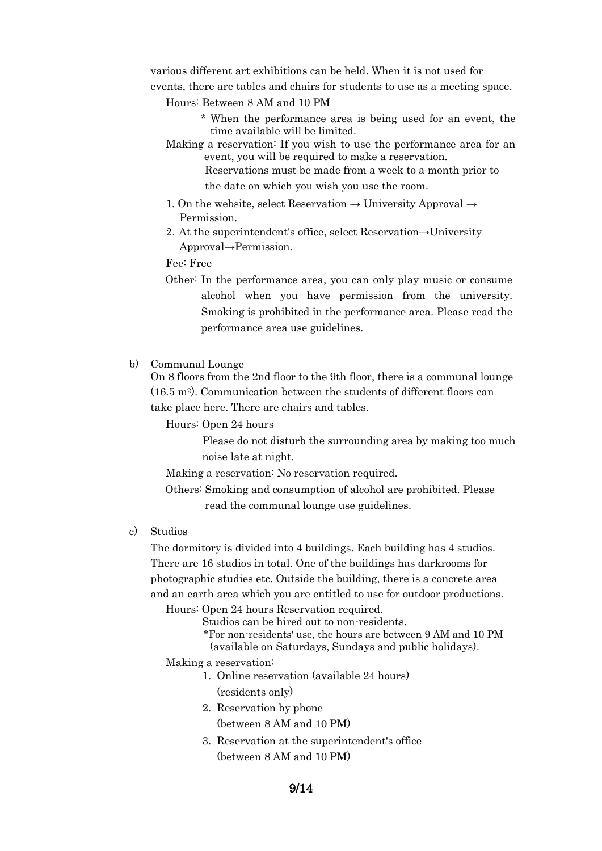various different art exhibitions can be held. When it is not used for events, there are tables and chairs for students to use as a meeting space.

- Hours: Between 8 AM and 10 PM
	- \* When the performance area is being used for an event, the time available will be limited.
- Making a reservation: If you wish to use the performance area for an event, you will be required to make a reservation.

Reservations must be made from a week to a month prior to the date on which you wish you use the room.

- 1. On the website, select Reservation  $\rightarrow$  University Approval  $\rightarrow$ Permission.
- 2.At the superintendent's office, select Reservation→University Approval→Permission.

Fee: Free

Other: In the performance area, you can only play music or consume alcohol when you have permission from the university. Smoking is prohibited in the performance area. Please read the performance area use guidelines.

#### b) Communal Lounge

On 8 floors from the 2nd floor to the 9th floor, there is a communal lounge  $(16.5 \text{ m}^2)$ . Communication between the students of different floors can take place here. There are chairs and tables.

Hours: Open 24 hours

Please do not disturb the surrounding area by making too much noise late at night.

Making a reservation: No reservation required.

- Others: Smoking and consumption of alcohol are prohibited. Please read the communal lounge use guidelines.
- c) Studios

The dormitory is divided into 4 buildings. Each building has 4 studios. There are 16 studios in total. One of the buildings has darkrooms for photographic studies etc. Outside the building, there is a concrete area and an earth area which you are entitled to use for outdoor productions.

Hours: Open 24 hours Reservation required.

Studios can be hired out to non-residents.

\*For non-residents' use, the hours are between 9 AM and 10 PM (available on Saturdays, Sundays and public holidays).

Making a reservation:

- 1. Online reservation (available 24 hours) (residents only)
- 2. Reservation by phone
- (between 8 AM and 10 PM)
- 3. Reservation at the superintendent's office (between 8 AM and 10 PM)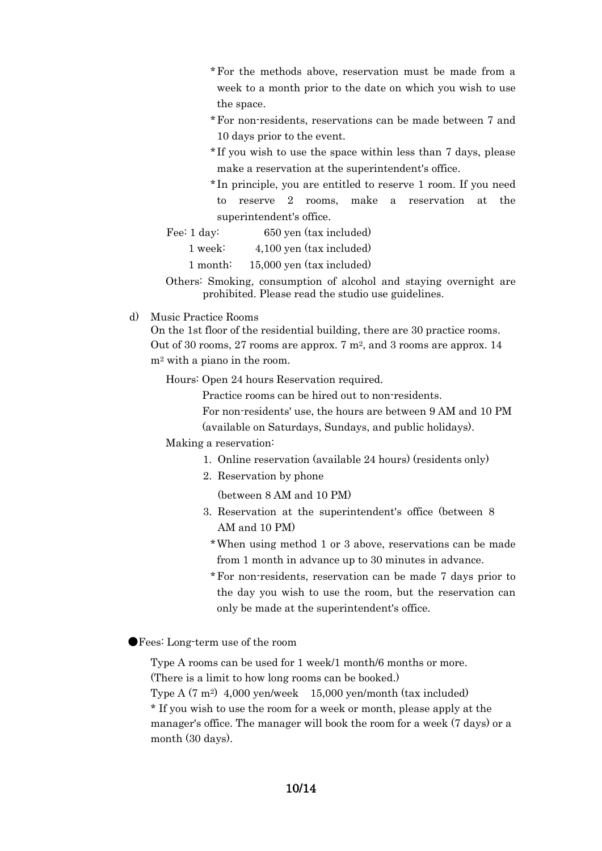- \*For the methods above, reservation must be made from a week to a month prior to the date on which you wish to use the space.
- \*For non-residents, reservations can be made between 7 and 10 days prior to the event.
- \* If you wish to use the space within less than 7 days, please make a reservation at the superintendent's office.
- \* In principle, you are entitled to reserve 1 room. If you need to reserve 2 rooms, make a reservation at the superintendent's office.

Fee: 1 day: 650 yen (tax included)

1 week: 4,100 yen (tax included)

1 month: 15,000 yen (tax included)

- Others: Smoking, consumption of alcohol and staying overnight are prohibited. Please read the studio use guidelines.
- d) Music Practice Rooms

On the 1st floor of the residential building, there are 30 practice rooms. Out of 30 rooms, 27 rooms are approx.  $7 \text{ m}^2$ , and 3 rooms are approx. 14 m<sup>2</sup> with a piano in the room.

Hours: Open 24 hours Reservation required.

Practice rooms can be hired out to non-residents.

For non-residents' use, the hours are between 9 AM and 10 PM

(available on Saturdays, Sundays, and public holidays).

#### Making a reservation:

- 1. Online reservation (available 24 hours) (residents only)
- 2. Reservation by phone

(between 8 AM and 10 PM)

- 3. Reservation at the superintendent's office (between 8 AM and 10 PM)
	- \*When using method 1 or 3 above, reservations can be made from 1 month in advance up to 30 minutes in advance.
	- \*For non-residents, reservation can be made 7 days prior to the day you wish to use the room, but the reservation can only be made at the superintendent's office.

●Fees: Long-term use of the room

Type A rooms can be used for 1 week/1 month/6 months or more. (There is a limit to how long rooms can be booked.)

Type A  $(7 \text{ m}^2)$  4,000 yen/week 15,000 yen/month (tax included)

\* If you wish to use the room for a week or month, please apply at the manager's office. The manager will book the room for a week (7 days) or a month (30 days).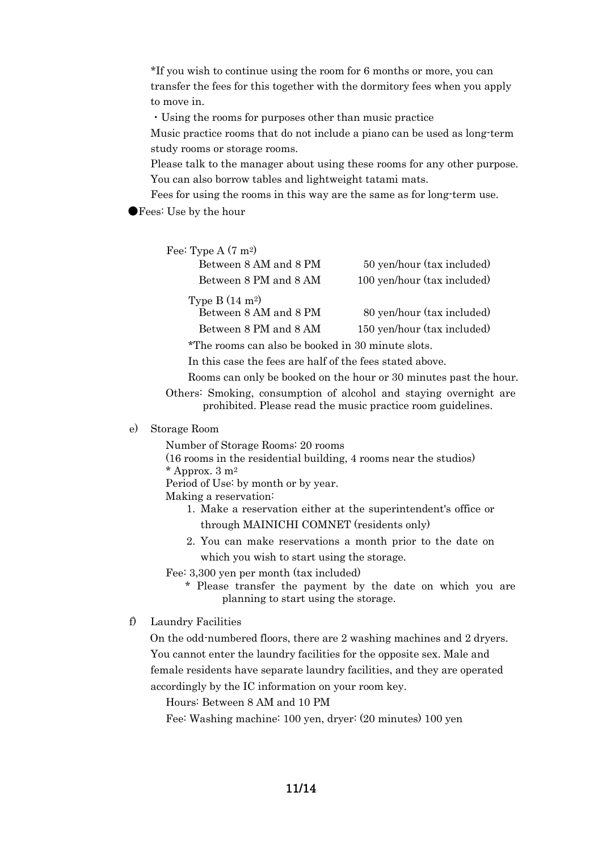\*If you wish to continue using the room for 6 months or more, you can transfer the fees for this together with the dormitory fees when you apply to move in.

・Using the rooms for purposes other than music practice

Music practice rooms that do not include a piano can be used as long-term study rooms or storage rooms.

Please talk to the manager about using these rooms for any other purpose. You can also borrow tables and lightweight tatami mats.

Fees for using the rooms in this way are the same as for long-term use.

●Fees: Use by the hour

| 50 yen/hour (tax included)  |
|-----------------------------|
| 100 yen/hour (tax included) |
| 80 yen/hour (tax included)  |
| 150 yen/hour (tax included) |
|                             |

\*The rooms can also be booked in 30 minute slots.

In this case the fees are half of the fees stated above.

Rooms can only be booked on the hour or 30 minutes past the hour.

Others: Smoking, consumption of alcohol and staying overnight are prohibited. Please read the music practice room guidelines.

#### e) Storage Room

Number of Storage Rooms: 20 rooms (16 rooms in the residential building, 4 rooms near the studios)  $*$  Approx. 3 m<sup>2</sup> Period of Use: by month or by year. Making a reservation: 1. Make a reservation either at the superintendent's office or

through MAINICHI COMNET (residents only) 2. You can make reservations a month prior to the date on

which you wish to start using the storage.

Fee: 3,300 yen per month (tax included)

- \* Please transfer the payment by the date on which you are planning to start using the storage.
- f) Laundry Facilities

On the odd-numbered floors, there are 2 washing machines and 2 dryers. You cannot enter the laundry facilities for the opposite sex. Male and female residents have separate laundry facilities, and they are operated accordingly by the IC information on your room key.

Hours: Between 8 AM and 10 PM

Fee: Washing machine: 100 yen, dryer: (20 minutes) 100 yen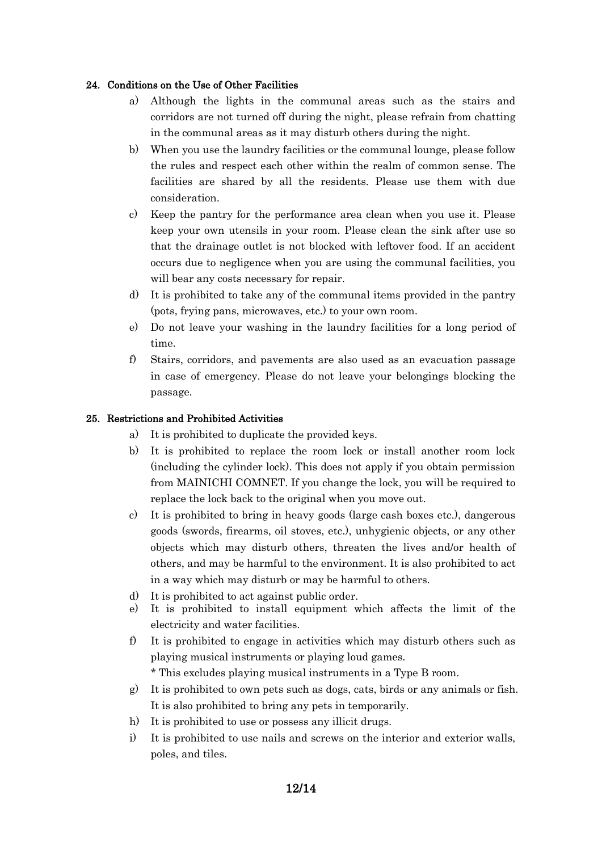# 24. Conditions on the Use of Other Facilities

- a) Although the lights in the communal areas such as the stairs and corridors are not turned off during the night, please refrain from chatting in the communal areas as it may disturb others during the night.
- b) When you use the laundry facilities or the communal lounge, please follow the rules and respect each other within the realm of common sense. The facilities are shared by all the residents. Please use them with due consideration.
- c) Keep the pantry for the performance area clean when you use it. Please keep your own utensils in your room. Please clean the sink after use so that the drainage outlet is not blocked with leftover food. If an accident occurs due to negligence when you are using the communal facilities, you will bear any costs necessary for repair.
- d) It is prohibited to take any of the communal items provided in the pantry (pots, frying pans, microwaves, etc.) to your own room.
- e) Do not leave your washing in the laundry facilities for a long period of time.
- f) Stairs, corridors, and pavements are also used as an evacuation passage in case of emergency. Please do not leave your belongings blocking the passage.

# 25. Restrictions and Prohibited Activities

- a) It is prohibited to duplicate the provided keys.
- b) It is prohibited to replace the room lock or install another room lock (including the cylinder lock). This does not apply if you obtain permission from MAINICHI COMNET. If you change the lock, you will be required to replace the lock back to the original when you move out.
- c) It is prohibited to bring in heavy goods (large cash boxes etc.), dangerous goods (swords, firearms, oil stoves, etc.), unhygienic objects, or any other objects which may disturb others, threaten the lives and/or health of others, and may be harmful to the environment. It is also prohibited to act in a way which may disturb or may be harmful to others.
- d) It is prohibited to act against public order.
- e) It is prohibited to install equipment which affects the limit of the electricity and water facilities.
- f) It is prohibited to engage in activities which may disturb others such as playing musical instruments or playing loud games.

\* This excludes playing musical instruments in a Type B room.

- g) It is prohibited to own pets such as dogs, cats, birds or any animals or fish. It is also prohibited to bring any pets in temporarily.
- h) It is prohibited to use or possess any illicit drugs.
- i) It is prohibited to use nails and screws on the interior and exterior walls, poles, and tiles.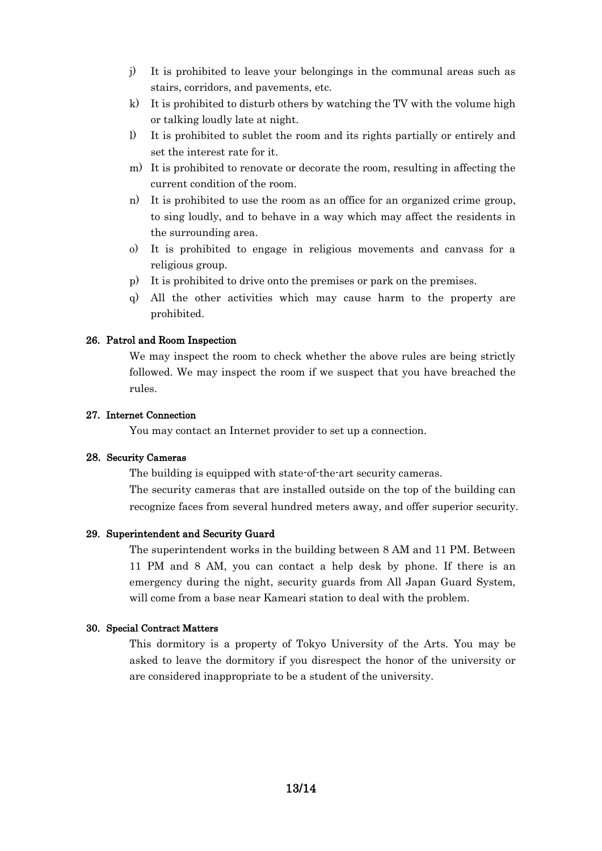- j) It is prohibited to leave your belongings in the communal areas such as stairs, corridors, and pavements, etc.
- k) It is prohibited to disturb others by watching the TV with the volume high or talking loudly late at night.
- l) It is prohibited to sublet the room and its rights partially or entirely and set the interest rate for it.
- m) It is prohibited to renovate or decorate the room, resulting in affecting the current condition of the room.
- n) It is prohibited to use the room as an office for an organized crime group, to sing loudly, and to behave in a way which may affect the residents in the surrounding area.
- o) It is prohibited to engage in religious movements and canvass for a religious group.
- p) It is prohibited to drive onto the premises or park on the premises.
- q) All the other activities which may cause harm to the property are prohibited.

#### 26. Patrol and Room Inspection

We may inspect the room to check whether the above rules are being strictly followed. We may inspect the room if we suspect that you have breached the rules.

#### 27. Internet Connection

You may contact an Internet provider to set up a connection.

#### 28. Security Cameras

The building is equipped with state-of-the-art security cameras.

The security cameras that are installed outside on the top of the building can recognize faces from several hundred meters away, and offer superior security.

#### 29. Superintendent and Security Guard

The superintendent works in the building between 8 AM and 11 PM. Between 11 PM and 8 AM, you can contact a help desk by phone. If there is an emergency during the night, security guards from All Japan Guard System, will come from a base near Kameari station to deal with the problem.

#### 30. Special Contract Matters

This dormitory is a property of Tokyo University of the Arts. You may be asked to leave the dormitory if you disrespect the honor of the university or are considered inappropriate to be a student of the university.